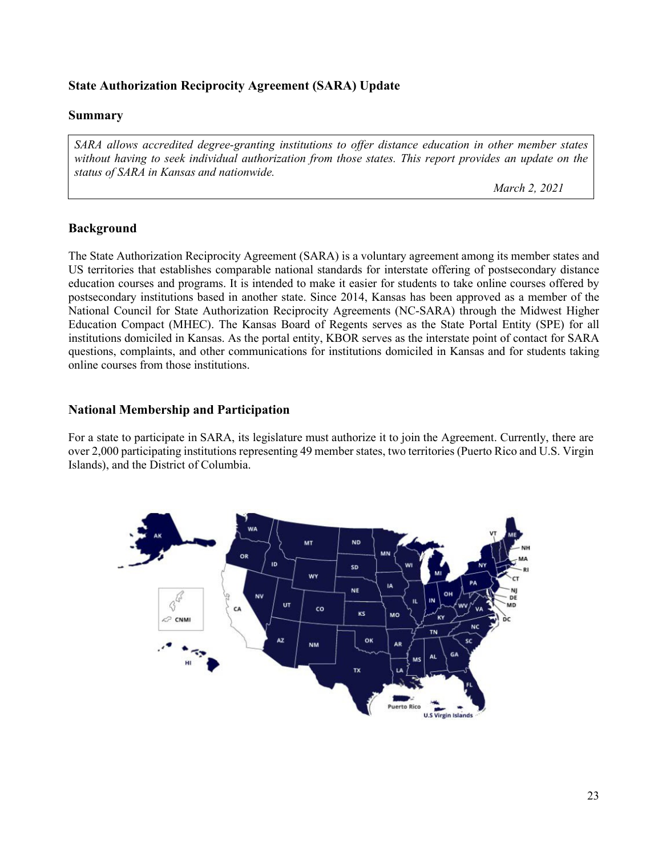## **State Authorization Reciprocity Agreement (SARA) Update**

### **Summary**

*SARA allows accredited degree-granting institutions to offer distance education in other member states without having to seek individual authorization from those states. This report provides an update on the status of SARA in Kansas and nationwide.* 

 *March 2, 2021*

### **Background**

The State Authorization Reciprocity Agreement (SARA) is a voluntary agreement among its member states and US territories that establishes comparable national standards for interstate offering of postsecondary distance education courses and programs. It is intended to make it easier for students to take online courses offered by postsecondary institutions based in another state. Since 2014, Kansas has been approved as a member of the National Council for State Authorization Reciprocity Agreements (NC-SARA) through the Midwest Higher Education Compact (MHEC). The Kansas Board of Regents serves as the State Portal Entity (SPE) for all institutions domiciled in Kansas. As the portal entity, KBOR serves as the interstate point of contact for SARA questions, complaints, and other communications for institutions domiciled in Kansas and for students taking online courses from those institutions.

### **National Membership and Participation**

For a state to participate in SARA, its legislature must authorize it to join the Agreement. Currently, there are over 2,000 participating institutions representing 49 member states, two territories (Puerto Rico and U.S. Virgin Islands), and the District of Columbia.

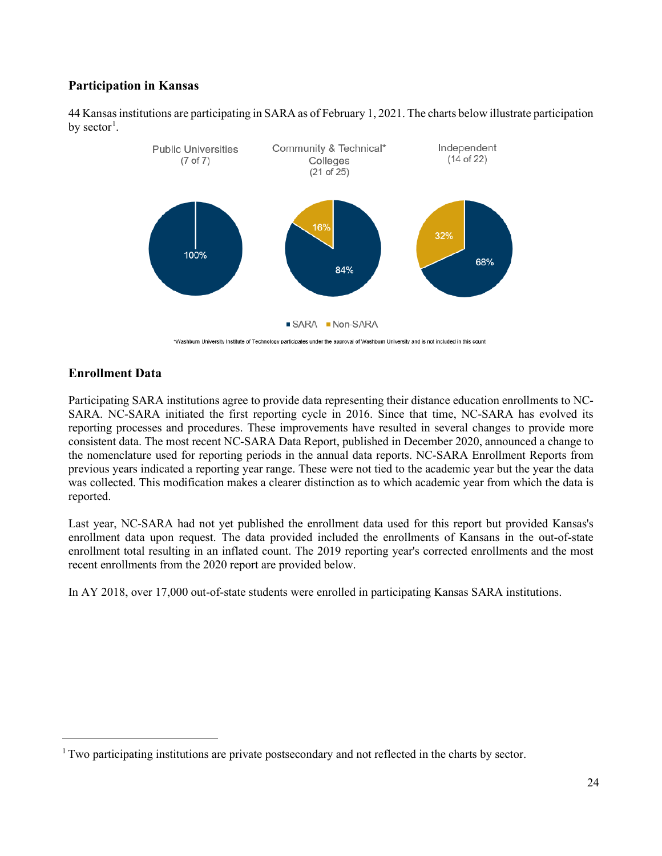# **Participation in Kansas**

44 Kansasinstitutions are participating in SARA as of February 1, 2021. The charts below illustrate participation by sector<sup>[1](#page-1-0)</sup>.



\*Washburn University Institute of Technology participates under the approval of Washburn University and is not included in this count

## **Enrollment Data**

Participating SARA institutions agree to provide data representing their distance education enrollments to NC-SARA. NC-SARA initiated the first reporting cycle in 2016. Since that time, NC-SARA has evolved its reporting processes and procedures. These improvements have resulted in several changes to provide more consistent data. The most recent NC-SARA Data Report, published in December 2020, announced a change to the nomenclature used for reporting periods in the annual data reports. NC-SARA Enrollment Reports from previous years indicated a reporting year range. These were not tied to the academic year but the year the data was collected. This modification makes a clearer distinction as to which academic year from which the data is reported.

Last year, NC-SARA had not yet published the enrollment data used for this report but provided Kansas's enrollment data upon request. The data provided included the enrollments of Kansans in the out-of-state enrollment total resulting in an inflated count. The 2019 reporting year's corrected enrollments and the most recent enrollments from the 2020 report are provided below.

In AY 2018, over 17,000 out-of-state students were enrolled in participating Kansas SARA institutions.

<span id="page-1-0"></span><sup>&</sup>lt;sup>1</sup> Two participating institutions are private postsecondary and not reflected in the charts by sector.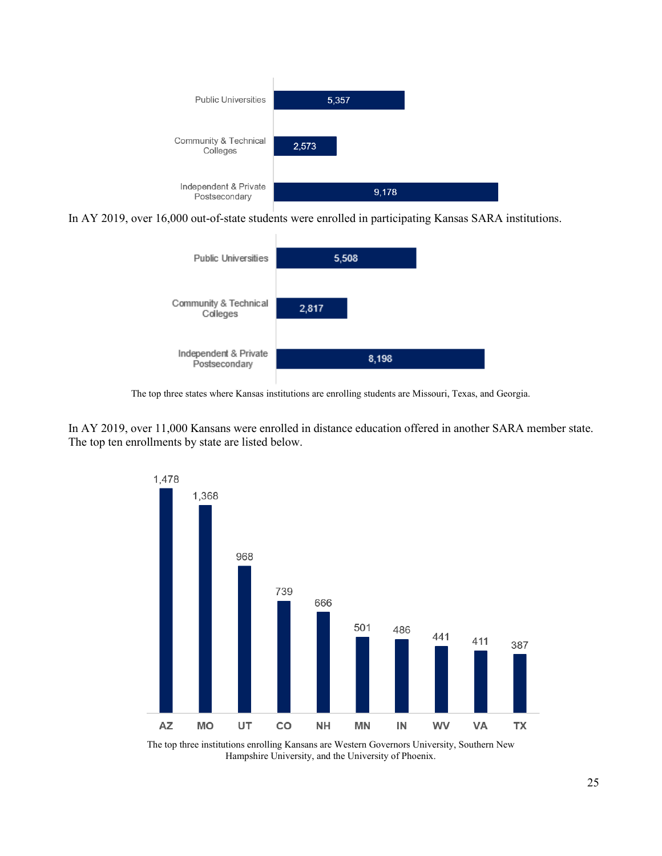

In AY 2019, over 16,000 out-of-state students were enrolled in participating Kansas SARA institutions.



The top three states where Kansas institutions are enrolling students are Missouri, Texas, and Georgia.

In AY 2019, over 11,000 Kansans were enrolled in distance education offered in another SARA member state. The top ten enrollments by state are listed below.



The top three institutions enrolling Kansans are Western Governors University, Southern New Hampshire University, and the University of Phoenix.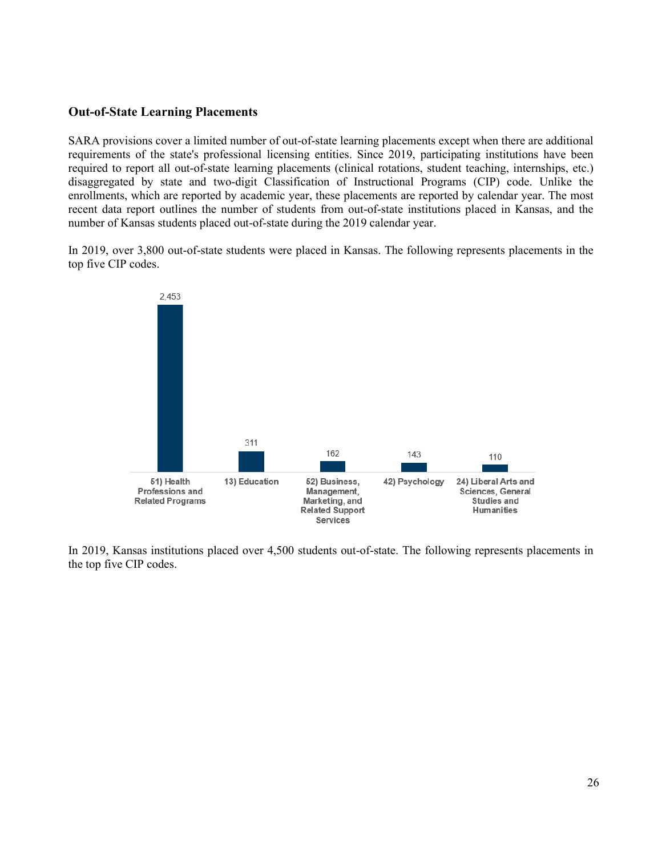#### **Out-of-State Learning Placements**

SARA provisions cover a limited number of out-of-state learning placements except when there are additional requirements of the state's professional licensing entities. Since 2019, participating institutions have been required to report all out-of-state learning placements (clinical rotations, student teaching, internships, etc.) disaggregated by state and two-digit Classification of Instructional Programs (CIP) code. Unlike the enrollments, which are reported by academic year, these placements are reported by calendar year. The most recent data report outlines the number of students from out-of-state institutions placed in Kansas, and the number of Kansas students placed out-of-state during the 2019 calendar year.

In 2019, over 3,800 out-of-state students were placed in Kansas. The following represents placements in the top five CIP codes.



In 2019, Kansas institutions placed over 4,500 students out-of-state. The following represents placements in the top five CIP codes.